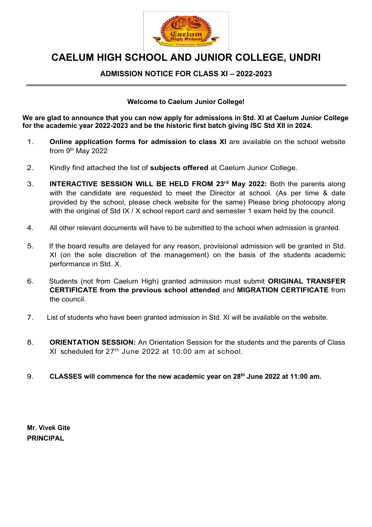

# **CAELUM HIGH SCHOOL AND JUNIOR COLLEGE, UNDRI**

#### **ADMISSION NOTICE FOR CLASS XI – 2022-2023**

#### **Welcome to Caelum Junior College!**

**We are glad to announce that you can now apply for admissions in Std. XI at Caelum Junior College for the academic year 2022-2023 and be the historic first batch giving ISC Std XII in 2024.**

- 1. **Online application forms for admission to class XI** are available on the school website from 9<sup>th</sup> May 2022
- 2. Kindly find attached the list of **subjects offered** at Caelum Junior College.
- 3. **INTERACTIVE SESSION WILL BE HELD FROM 23rd May 2022:** Both the parents along with the candidate are requested to meet the Director at school. (As per time & date provided by the school, please check website for the same) Please bring photocopy along with the original of Std IX / X school report card and semester 1 exam held by the council.
- 4. All other relevant documents will have to be submitted to the school when admission is granted.
- 5. If the board results are delayed for any reason, provisional admission will be granted in Std. XI (on the sole discretion of the management) on the basis of the students academic performance in Std. X.
- 6. Students (not from Caelum High) granted admission must submit **ORIGINAL TRANSFER CERTIFICATE from the previous school attended** and **MIGRATION CERTIFICATE** from the council.
- 7. List of students who have been granted admission in Std. XI will be available on the website.
- 8. **ORIENTATION SESSION:** An Orientation Session for the students and the parents of Class XI scheduled for  $27<sup>th</sup>$  June 2022 at 10:00 am at school.
- 9. **CLASSES will commence for the new academic year on 28th June 2022 at 11:00 am.**

**Mr. Vivek Gite PRINCIPAL**